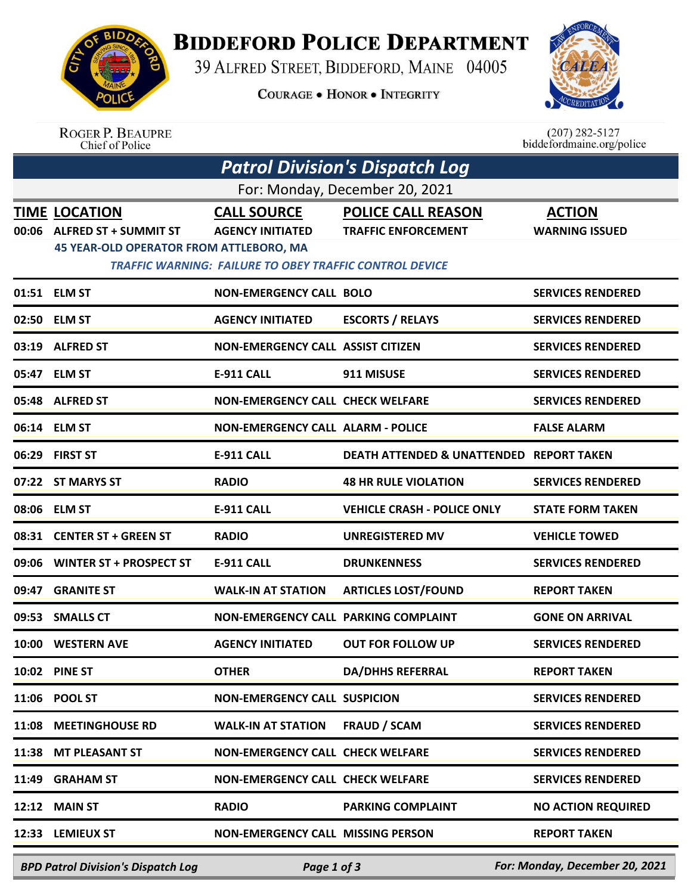

**ROGER P. BEAUPRE** 

## **BIDDEFORD POLICE DEPARTMENT**

39 ALFRED STREET, BIDDEFORD, MAINE 04005

**COURAGE . HONOR . INTEGRITY** 



 $(207)$  282-5127

|                                | Chief of Police                                                                                        |                                                                                                                 |                                                         | biddefordmaine.org/police              |  |  |  |  |
|--------------------------------|--------------------------------------------------------------------------------------------------------|-----------------------------------------------------------------------------------------------------------------|---------------------------------------------------------|----------------------------------------|--|--|--|--|
|                                |                                                                                                        |                                                                                                                 | <b>Patrol Division's Dispatch Log</b>                   |                                        |  |  |  |  |
| For: Monday, December 20, 2021 |                                                                                                        |                                                                                                                 |                                                         |                                        |  |  |  |  |
| 00:06                          | <b>TIME LOCATION</b><br><b>ALFRED ST + SUMMIT ST</b><br><b>45 YEAR-OLD OPERATOR FROM ATTLEBORO, MA</b> | <b>CALL SOURCE</b><br><b>AGENCY INITIATED</b><br><b>TRAFFIC WARNING: FAILURE TO OBEY TRAFFIC CONTROL DEVICE</b> | <b>POLICE CALL REASON</b><br><b>TRAFFIC ENFORCEMENT</b> | <b>ACTION</b><br><b>WARNING ISSUED</b> |  |  |  |  |
|                                | 01:51 ELM ST                                                                                           | <b>NON-EMERGENCY CALL BOLO</b>                                                                                  |                                                         | <b>SERVICES RENDERED</b>               |  |  |  |  |
|                                | 02:50 ELM ST                                                                                           | <b>AGENCY INITIATED</b>                                                                                         | <b>ESCORTS / RELAYS</b>                                 | <b>SERVICES RENDERED</b>               |  |  |  |  |
|                                | 03:19 ALFRED ST                                                                                        | <b>NON-EMERGENCY CALL ASSIST CITIZEN</b>                                                                        |                                                         | <b>SERVICES RENDERED</b>               |  |  |  |  |
|                                | 05:47 ELM ST                                                                                           | <b>E-911 CALL</b>                                                                                               | 911 MISUSE                                              | <b>SERVICES RENDERED</b>               |  |  |  |  |
|                                | 05:48 ALFRED ST                                                                                        | <b>NON-EMERGENCY CALL CHECK WELFARE</b>                                                                         |                                                         | <b>SERVICES RENDERED</b>               |  |  |  |  |
|                                | 06:14 ELM ST                                                                                           | <b>NON-EMERGENCY CALL ALARM - POLICE</b>                                                                        |                                                         | <b>FALSE ALARM</b>                     |  |  |  |  |
|                                | 06:29 FIRST ST                                                                                         | <b>E-911 CALL</b>                                                                                               | <b>DEATH ATTENDED &amp; UNATTENDED REPORT TAKEN</b>     |                                        |  |  |  |  |
|                                | 07:22 ST MARYS ST                                                                                      | <b>RADIO</b>                                                                                                    | <b>48 HR RULE VIOLATION</b>                             | <b>SERVICES RENDERED</b>               |  |  |  |  |
|                                | 08:06 ELM ST                                                                                           | <b>E-911 CALL</b>                                                                                               | <b>VEHICLE CRASH - POLICE ONLY</b>                      | <b>STATE FORM TAKEN</b>                |  |  |  |  |
|                                | 08:31 CENTER ST + GREEN ST                                                                             | <b>RADIO</b>                                                                                                    | <b>UNREGISTERED MV</b>                                  | <b>VEHICLE TOWED</b>                   |  |  |  |  |
|                                | 09:06 WINTER ST + PROSPECT ST                                                                          | <b>E-911 CALL</b>                                                                                               | <b>DRUNKENNESS</b>                                      | <b>SERVICES RENDERED</b>               |  |  |  |  |
|                                | 09:47 GRANITE ST                                                                                       | <b>WALK-IN AT STATION</b>                                                                                       | <b>ARTICLES LOST/FOUND</b>                              | <b>REPORT TAKEN</b>                    |  |  |  |  |
|                                | 09:53 SMALLS CT                                                                                        | NON-EMERGENCY CALL PARKING COMPLAINT                                                                            |                                                         | <b>GONE ON ARRIVAL</b>                 |  |  |  |  |
|                                | 10:00 WESTERN AVE                                                                                      | <b>AGENCY INITIATED</b>                                                                                         | <b>OUT FOR FOLLOW UP</b>                                | <b>SERVICES RENDERED</b>               |  |  |  |  |
|                                | 10:02 PINE ST                                                                                          | <b>OTHER</b>                                                                                                    | <b>DA/DHHS REFERRAL</b>                                 | <b>REPORT TAKEN</b>                    |  |  |  |  |
|                                | 11:06 POOL ST                                                                                          | <b>NON-EMERGENCY CALL SUSPICION</b>                                                                             |                                                         | <b>SERVICES RENDERED</b>               |  |  |  |  |
| 11:08                          | <b>MEETINGHOUSE RD</b>                                                                                 | <b>WALK-IN AT STATION</b>                                                                                       | <b>FRAUD / SCAM</b>                                     | <b>SERVICES RENDERED</b>               |  |  |  |  |
| 11:38                          | <b>MT PLEASANT ST</b>                                                                                  | <b>NON-EMERGENCY CALL CHECK WELFARE</b>                                                                         |                                                         | <b>SERVICES RENDERED</b>               |  |  |  |  |
| 11:49                          | <b>GRAHAM ST</b>                                                                                       | <b>NON-EMERGENCY CALL CHECK WELFARE</b>                                                                         |                                                         | <b>SERVICES RENDERED</b>               |  |  |  |  |
| 12:12                          | <b>MAIN ST</b>                                                                                         | <b>RADIO</b>                                                                                                    | <b>PARKING COMPLAINT</b>                                | <b>NO ACTION REQUIRED</b>              |  |  |  |  |
|                                | 12:33 LEMIEUX ST                                                                                       | <b>NON-EMERGENCY CALL MISSING PERSON</b>                                                                        |                                                         | <b>REPORT TAKEN</b>                    |  |  |  |  |
|                                |                                                                                                        |                                                                                                                 |                                                         |                                        |  |  |  |  |

*BPD Patrol Division's Dispatch Log Page 1 of 3 For: Monday, December 20, 2021*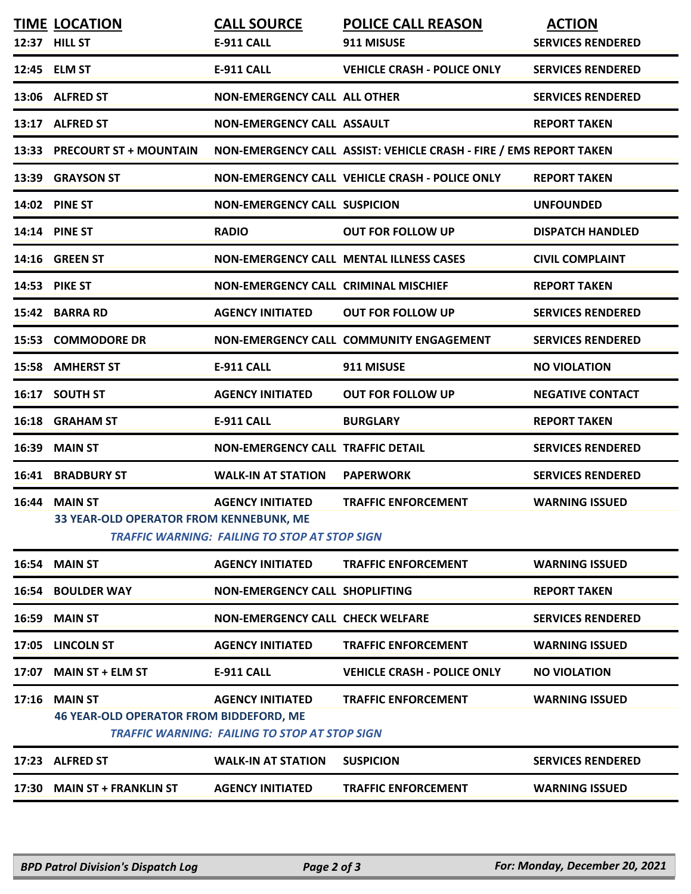|       | <b>TIME LOCATION</b><br>12:37 HILL ST                                  | <b>CALL SOURCE</b><br><b>E-911 CALL</b>                                         | <b>POLICE CALL REASON</b><br>911 MISUSE                            | <b>ACTION</b><br><b>SERVICES RENDERED</b> |
|-------|------------------------------------------------------------------------|---------------------------------------------------------------------------------|--------------------------------------------------------------------|-------------------------------------------|
|       | 12:45 ELM ST                                                           | <b>E-911 CALL</b>                                                               | <b>VEHICLE CRASH - POLICE ONLY</b>                                 | <b>SERVICES RENDERED</b>                  |
|       | 13:06 ALFRED ST                                                        | <b>NON-EMERGENCY CALL ALL OTHER</b>                                             |                                                                    | <b>SERVICES RENDERED</b>                  |
|       | 13:17 ALFRED ST                                                        | <b>NON-EMERGENCY CALL ASSAULT</b>                                               |                                                                    | <b>REPORT TAKEN</b>                       |
|       | 13:33 PRECOURT ST + MOUNTAIN                                           |                                                                                 | NON-EMERGENCY CALL ASSIST: VEHICLE CRASH - FIRE / EMS REPORT TAKEN |                                           |
|       | 13:39 GRAYSON ST                                                       |                                                                                 | NON-EMERGENCY CALL VEHICLE CRASH - POLICE ONLY                     | <b>REPORT TAKEN</b>                       |
|       | 14:02 PINE ST                                                          | <b>NON-EMERGENCY CALL SUSPICION</b>                                             |                                                                    | <b>UNFOUNDED</b>                          |
|       | 14:14 PINE ST                                                          | <b>RADIO</b>                                                                    | <b>OUT FOR FOLLOW UP</b>                                           | <b>DISPATCH HANDLED</b>                   |
|       | <b>14:16 GREEN ST</b>                                                  |                                                                                 | <b>NON-EMERGENCY CALL MENTAL ILLNESS CASES</b>                     | <b>CIVIL COMPLAINT</b>                    |
|       | 14:53 PIKE ST                                                          | NON-EMERGENCY CALL CRIMINAL MISCHIEF                                            |                                                                    | <b>REPORT TAKEN</b>                       |
| 15:42 | <b>BARRA RD</b>                                                        | <b>AGENCY INITIATED</b>                                                         | <b>OUT FOR FOLLOW UP</b>                                           | <b>SERVICES RENDERED</b>                  |
| 15:53 | <b>COMMODORE DR</b>                                                    |                                                                                 | NON-EMERGENCY CALL COMMUNITY ENGAGEMENT                            | <b>SERVICES RENDERED</b>                  |
| 15:58 | <b>AMHERST ST</b>                                                      | <b>E-911 CALL</b>                                                               | 911 MISUSE                                                         | <b>NO VIOLATION</b>                       |
| 16:17 | <b>SOUTH ST</b>                                                        | <b>AGENCY INITIATED</b>                                                         | <b>OUT FOR FOLLOW UP</b>                                           | <b>NEGATIVE CONTACT</b>                   |
|       | 16:18 GRAHAM ST                                                        | <b>E-911 CALL</b>                                                               | <b>BURGLARY</b>                                                    | <b>REPORT TAKEN</b>                       |
| 16:39 | <b>MAIN ST</b>                                                         | <b>NON-EMERGENCY CALL TRAFFIC DETAIL</b>                                        |                                                                    | <b>SERVICES RENDERED</b>                  |
|       | <b>16:41 BRADBURY ST</b>                                               | <b>WALK-IN AT STATION</b>                                                       | <b>PAPERWORK</b>                                                   | <b>SERVICES RENDERED</b>                  |
|       | <b>16:44 MAIN ST</b><br><b>33 YEAR-OLD OPERATOR FROM KENNEBUNK, ME</b> | <b>AGENCY INITIATED</b><br><b>TRAFFIC WARNING: FAILING TO STOP AT STOP SIGN</b> | <b>TRAFFIC ENFORCEMENT</b>                                         | <b>WARNING ISSUED</b>                     |
|       | 16:54 MAIN ST                                                          | <b>AGENCY INITIATED</b>                                                         | <b>TRAFFIC ENFORCEMENT</b>                                         | <b>WARNING ISSUED</b>                     |
|       | <b>16:54 BOULDER WAY</b>                                               | NON-EMERGENCY CALL SHOPLIFTING                                                  |                                                                    | <b>REPORT TAKEN</b>                       |
| 16:59 | <b>MAIN ST</b>                                                         | <b>NON-EMERGENCY CALL CHECK WELFARE</b>                                         |                                                                    | <b>SERVICES RENDERED</b>                  |
|       | 17:05 LINCOLN ST                                                       | <b>AGENCY INITIATED</b>                                                         | <b>TRAFFIC ENFORCEMENT</b>                                         | <b>WARNING ISSUED</b>                     |
| 17:07 | <b>MAIN ST + ELM ST</b>                                                | <b>E-911 CALL</b>                                                               | <b>VEHICLE CRASH - POLICE ONLY</b>                                 | <b>NO VIOLATION</b>                       |
| 17:16 | <b>MAIN ST</b><br><b>46 YEAR-OLD OPERATOR FROM BIDDEFORD, ME</b>       | <b>AGENCY INITIATED</b><br><b>TRAFFIC WARNING: FAILING TO STOP AT STOP SIGN</b> | <b>TRAFFIC ENFORCEMENT</b>                                         | <b>WARNING ISSUED</b>                     |
|       | 17:23 ALFRED ST                                                        | <b>WALK-IN AT STATION</b>                                                       | <b>SUSPICION</b>                                                   | <b>SERVICES RENDERED</b>                  |
| 17:30 | <b>MAIN ST + FRANKLIN ST</b>                                           | <b>AGENCY INITIATED</b>                                                         | <b>TRAFFIC ENFORCEMENT</b>                                         | <b>WARNING ISSUED</b>                     |